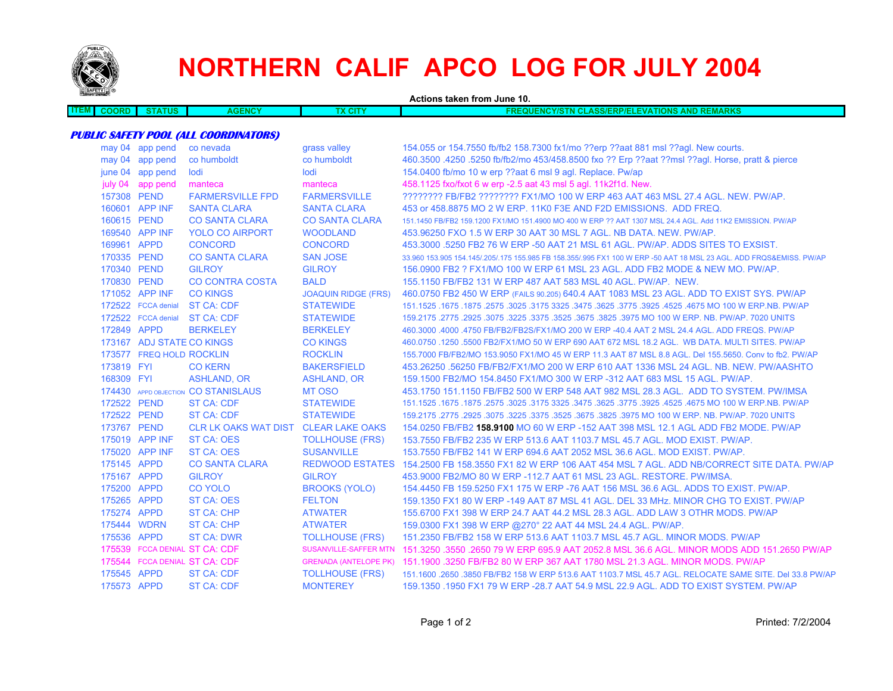

## **NORTHERN CALIF APCO LOG FOR JULY 2004**

| <b>Separate Contract Contract Contract Contract Contract Contract Contract Contract Contract Contract Contract Contract Contract Contract Contract Contract Contract Contract Contract Contract Contract Contract Contract Contr</b> |                               |                                      |                            | Actions taken from June 10.                                                                                         |  |  |  |  |
|--------------------------------------------------------------------------------------------------------------------------------------------------------------------------------------------------------------------------------------|-------------------------------|--------------------------------------|----------------------------|---------------------------------------------------------------------------------------------------------------------|--|--|--|--|
| <b>ITEM</b><br><b>COORD</b>                                                                                                                                                                                                          | <b>STATUS</b>                 | <b>AGENCY</b>                        | <b>TX CITY</b>             | <b>FREQUENCY/STN CLASS/ERP/ELEVATIONS AND REMARKS</b>                                                               |  |  |  |  |
|                                                                                                                                                                                                                                      |                               |                                      |                            |                                                                                                                     |  |  |  |  |
| <b>PUBLIC SAFETY POOL (ALL COORDINATORS)</b>                                                                                                                                                                                         |                               |                                      |                            |                                                                                                                     |  |  |  |  |
|                                                                                                                                                                                                                                      | may 04 app pend               | co nevada                            | grass valley               | 154.055 or 154.7550 fb/fb2 158.7300 fx1/mo ??erp ??aat 881 msl ??agl. New courts.                                   |  |  |  |  |
|                                                                                                                                                                                                                                      | may 04 app pend               | co humboldt                          | co humboldt                | 460.3500 .4250 .5250 fb/fb2/mo 453/458.8500 fxo ?? Erp ??aat ??msl ??aql. Horse, pratt & pierce                     |  |  |  |  |
|                                                                                                                                                                                                                                      | june 04 app pend              | lodi                                 | lodi                       | 154.0400 fb/mo 10 w erp ??aat 6 msl 9 agl. Replace. Pw/ap                                                           |  |  |  |  |
|                                                                                                                                                                                                                                      | july 04 app pend              | manteca                              | manteca                    | 458.1125 fxo/fxot 6 w erp -2.5 aat 43 msl 5 agl. 11k2f1d. New.                                                      |  |  |  |  |
|                                                                                                                                                                                                                                      | 157308 PEND                   | <b>FARMERSVILLE FPD</b>              | <b>FARMERSVILLE</b>        | ???????? FB/FB2 ???????? FX1/MO 100 W ERP 463 AAT 463 MSL 27.4 AGL. NEW. PW/AP.                                     |  |  |  |  |
|                                                                                                                                                                                                                                      | 160601 APP INF                | <b>SANTA CLARA</b>                   | <b>SANTA CLARA</b>         | 453 or 458,8875 MO 2 W ERP, 11K0 F3E AND F2D EMISSIONS. ADD FREQ.                                                   |  |  |  |  |
|                                                                                                                                                                                                                                      | 160615 PEND                   | <b>CO SANTA CLARA</b>                | <b>CO SANTA CLARA</b>      | 151.1450 FB/FB2 159.1200 FX1/MO 151.4900 MO 400 W ERP ?? AAT 1307 MSL 24.4 AGL. Add 11K2 EMISSION. PW/AP            |  |  |  |  |
|                                                                                                                                                                                                                                      | 169540 APP INF                | <b>YOLO CO AIRPORT</b>               | <b>WOODLAND</b>            | 453,96250 FXO 1.5 W ERP 30 AAT 30 MSL 7 AGL, NB DATA, NEW, PW/AP,                                                   |  |  |  |  |
|                                                                                                                                                                                                                                      | 169961 APPD                   | <b>CONCORD</b>                       | <b>CONCORD</b>             | 453.3000 .5250 FB2 76 W ERP -50 AAT 21 MSL 61 AGL. PW/AP. ADDS SITES TO EXSIST.                                     |  |  |  |  |
|                                                                                                                                                                                                                                      | 170335 PEND                   | <b>CO SANTA CLARA</b>                | <b>SAN JOSE</b>            | 33,960 153,905 154,145/.205/.175 155,985 FB 158,355/.995 FX1 100 W ERP -50 AAT 18 MSL 23 AGL, ADD FROS&EMISS, PW/AP |  |  |  |  |
|                                                                                                                                                                                                                                      | 170340 PEND                   | <b>GILROY</b>                        | <b>GILROY</b>              | 156,0900 FB2 ? FX1/MO 100 W ERP 61 MSL 23 AGL. ADD FB2 MODE & NEW MO. PW/AP.                                        |  |  |  |  |
|                                                                                                                                                                                                                                      | 170830 PEND                   | <b>CO CONTRA COSTA</b>               | <b>BALD</b>                | 155,1150 FB/FB2 131 W ERP 487 AAT 583 MSL 40 AGL, PW/AP, NEW.                                                       |  |  |  |  |
|                                                                                                                                                                                                                                      | 171052 APP INF                | <b>CO KINGS</b>                      | <b>JOAQUIN RIDGE (FRS)</b> | 460.0750 FB2 450 W ERP (FAILS 90.205) 640.4 AAT 1083 MSL 23 AGL. ADD TO EXIST SYS. PW/AP                            |  |  |  |  |
|                                                                                                                                                                                                                                      | 172522 FCCA denial            | ST CA: CDF                           | <b>STATEWIDE</b>           | 151.1525 .1675 .1875 .2575 .3025 .3175 3325 .3475 .3625 .3775 .3925 .4525 .4675 MO 100 W ERP.NB. PW/AP              |  |  |  |  |
|                                                                                                                                                                                                                                      | 172522 FCCA denial            | <b>ST CA: CDF</b>                    | <b>STATEWIDE</b>           | 159.2175 .2775 .2925 .3075 .3225 .3525 .3625 .3675 .3825 .3975 MO 100 W ERP. NB. PW/AP. 7020 UNITS                  |  |  |  |  |
|                                                                                                                                                                                                                                      | 172849 APPD                   | <b>BERKELEY</b>                      | <b>BERKELEY</b>            | 460.3000 .4000 .4750 FB/FB2/FB2S/FX1/MO 200 W ERP -40.4 AAT 2 MSL 24.4 AGL. ADD FREQS. PW/AP                        |  |  |  |  |
|                                                                                                                                                                                                                                      | 173167 ADJ STATE CO KINGS     |                                      | <b>CO KINGS</b>            | 460.0750 .1250 .5500 FB2/FX1/MO 50 W ERP 690 AAT 672 MSL 18.2 AGL. WB DATA. MULTI SITES. PW/AP                      |  |  |  |  |
|                                                                                                                                                                                                                                      | 173577 FREQ HOLD ROCKLIN      |                                      | <b>ROCKLIN</b>             | 155,7000 FB/FB2/MO 153,9050 FX1/MO 45 W ERP 11.3 AAT 87 MSL 8.8 AGL, Del 155,5650, Conv to fb2, PW/AP               |  |  |  |  |
| 173819 FYI                                                                                                                                                                                                                           |                               | <b>CO KERN</b>                       | <b>BAKERSFIELD</b>         | 453.26250 .56250 FB/FB2/FX1/MO 200 W ERP 610 AAT 1336 MSL 24 AGL. NB. NEW. PW/AASHTO                                |  |  |  |  |
| 168309 FYI                                                                                                                                                                                                                           |                               | <b>ASHLAND, OR</b>                   | <b>ASHLAND, OR</b>         | 159.1500 FB2/MO 154.8450 FX1/MO 300 W ERP -312 AAT 683 MSL 15 AGL, PW/AP.                                           |  |  |  |  |
|                                                                                                                                                                                                                                      |                               | 174430 APPD OBJECTION CO STANISLAUS  | <b>MT OSO</b>              | 453.1750 151.1150 FB/FB2 500 W ERP 548 AAT 982 MSL 28.3 AGL. ADD TO SYSTEM. PW/IMSA                                 |  |  |  |  |
|                                                                                                                                                                                                                                      | 172522 PEND                   | ST CA: CDF                           | <b>STATEWIDE</b>           | 1675.1675.1675 NO 100 W ERP.NB. PW/AP 3325. 3475. 3625. 3475 3625. 3525. 3526. 1675.1675 1675.1625.                 |  |  |  |  |
|                                                                                                                                                                                                                                      | 172522 PEND                   | ST CA: CDF                           | <b>STATEWIDE</b>           | 159.2175 .2775 .2925 .3075 .3225 .3525 .3625 .3675 .3825 .3975 MO 100 W ERP. NB. PW/AP. 7020 UNITS                  |  |  |  |  |
|                                                                                                                                                                                                                                      | 173767 PEND                   | CLR LK OAKS WAT DIST CLEAR LAKE OAKS |                            | 154.0250 FB/FB2 <b>158.9100 MO 60 W ERP -152 AAT 398 MSL 12.1 AGL ADD FB2 MODE. PW/AP</b>                           |  |  |  |  |
|                                                                                                                                                                                                                                      | 175019 APP INF                | <b>ST CA: OES</b>                    | <b>TOLLHOUSE (FRS)</b>     | 153.7550 FB/FB2 235 W ERP 513.6 AAT 1103.7 MSL 45.7 AGL. MOD EXIST. PW/AP.                                          |  |  |  |  |
|                                                                                                                                                                                                                                      | 175020 APP INF                | ST CA: OES                           | <b>SUSANVILLE</b>          | 153.7550 FB/FB2 141 W ERP 694.6 AAT 2052 MSL 36.6 AGL. MOD EXIST, PW/AP.                                            |  |  |  |  |
|                                                                                                                                                                                                                                      | 175145 APPD                   | <b>CO SANTA CLARA</b>                |                            | REDWOOD ESTATES 154.2500 FB 158.3550 FX1 82 W ERP 106 AAT 454 MSL 7 AGL. ADD NB/CORRECT SITE DATA. PW/AP            |  |  |  |  |
|                                                                                                                                                                                                                                      | 175167 APPD                   | <b>GILROY</b>                        | <b>GILROY</b>              | 453,9000 FB2/MO 80 W ERP -112.7 AAT 61 MSL 23 AGL, RESTORE, PW/IMSA.                                                |  |  |  |  |
|                                                                                                                                                                                                                                      | 175200 APPD                   | <b>CO YOLO</b>                       | <b>BROOKS (YOLO)</b>       | 154,4450 FB 159,5250 FX1 175 W ERP -76 AAT 156 MSL 36.6 AGL, ADDS TO EXIST, PW/AP,                                  |  |  |  |  |
|                                                                                                                                                                                                                                      | 175265 APPD                   | <b>ST CA: OES</b>                    | <b>FELTON</b>              | 159.1350 FX1 80 W ERP -149 AAT 87 MSL 41 AGL, DEL 33 MHz, MINOR CHG TO EXIST, PW/AP                                 |  |  |  |  |
|                                                                                                                                                                                                                                      | 175274 APPD                   | <b>ST CA: CHP</b>                    | <b>ATWATER</b>             | 155.6700 FX1 398 W ERP 24.7 AAT 44.2 MSL 28.3 AGL. ADD LAW 3 OTHR MODS. PW/AP                                       |  |  |  |  |
|                                                                                                                                                                                                                                      | 175444 WDRN                   | <b>ST CA: CHP</b>                    | <b>ATWATER</b>             | 159.0300 FX1 398 W ERP @270° 22 AAT 44 MSL 24.4 AGL. PW/AP.                                                         |  |  |  |  |
|                                                                                                                                                                                                                                      | 175536 APPD                   | <b>ST CA: DWR</b>                    | <b>TOLLHOUSE (FRS)</b>     | 151.2350 FB/FB2 158 W ERP 513.6 AAT 1103.7 MSL 45.7 AGL. MINOR MODS. PW/AP                                          |  |  |  |  |
|                                                                                                                                                                                                                                      | 175539 FCCA DENIAL ST CA: CDF |                                      |                            | SUSANVILLE-SAFFER MTN 151.3250 .3550 .2650 79 W ERP 695.9 AAT 2052.8 MSL 36.6 AGL, MINOR MODS ADD 151.2650 PW/AP    |  |  |  |  |
|                                                                                                                                                                                                                                      |                               | 175544 FCCA DENIAL ST CA: CDF        |                            | GRENADA (ANTELOPE PK) 151.1900 .3250 FB/FB2 80 W ERP 367 AAT 1780 MSL 21.3 AGL. MINOR MODS. PW/AP                   |  |  |  |  |
|                                                                                                                                                                                                                                      | 175545 APPD                   | ST CA: CDF                           | <b>TOLLHOUSE (FRS)</b>     | 151.1600 .2650 .3850 FB/FB2 158 W ERP 513.6 AAT 1103.7 MSL 45.7 AGL. RELOCATE SAME SITE. Del 33.8 PW/AP             |  |  |  |  |
|                                                                                                                                                                                                                                      | 175573 APPD                   | <b>ST CA: CDF</b>                    | <b>MONTEREY</b>            | 159.1350 .1950 FX1 79 W ERP -28.7 AAT 54.9 MSL 22.9 AGL. ADD TO EXIST SYSTEM. PW/AP                                 |  |  |  |  |